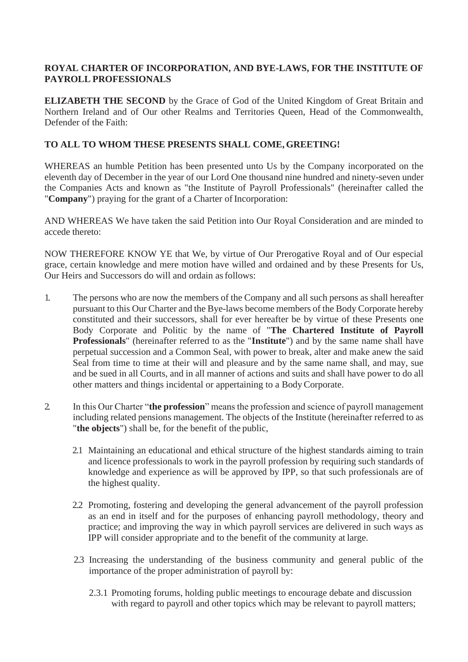# **ROYAL CHARTER OF INCORPORATION, AND BYE-LAWS, FOR THE INSTITUTE OF PAYROLL PROFESSIONALS**

**ELIZABETH THE SECOND** by the Grace of God of the United Kingdom of Great Britain and Northern Ireland and of Our other Realms and Territories Queen, Head of the Commonwealth, Defender of the Faith:

### **TO ALL TO WHOM THESE PRESENTS SHALL COME, GREETING!**

WHEREAS an humble Petition has been presented unto Us by the Company incorporated on the eleventh day of December in the year of our Lord One thousand nine hundred and ninety-seven under the Companies Acts and known as "the Institute of Payroll Professionals" (hereinafter called the "**Company**") praying for the grant of a Charter of Incorporation:

AND WHEREAS We have taken the said Petition into Our Royal Consideration and are minded to accede thereto:

NOW THEREFORE KNOW YE that We, by virtue of Our Prerogative Royal and of Our especial grace, certain knowledge and mere motion have willed and ordained and by these Presents for Us, Our Heirs and Successors do will and ordain asfollows:

- 1. The persons who are now the members of the Company and all such persons as shall hereafter pursuant to this Our Charter and the Bye-laws become members of the Body Corporate hereby constituted and their successors, shall for ever hereafter be by virtue of these Presents one Body Corporate and Politic by the name of "**The Chartered Institute of Payroll Professionals**" (hereinafter referred to as the "**Institute**") and by the same name shall have perpetual succession and a Common Seal, with power to break, alter and make anew the said Seal from time to time at their will and pleasure and by the same name shall, and may, sue and be sued in all Courts, and in all manner of actions and suits and shall have power to do all other matters and things incidental or appertaining to a Body Corporate.
- 2. In this Our Charter "**the profession**" means the profession and science of payroll management including related pensions management. The objects of the Institute (hereinafter referred to as "**the objects**") shall be, for the benefit of the public,
	- 2.1 Maintaining an educational and ethical structure of the highest standards aiming to train and licence professionals to work in the payroll profession by requiring such standards of knowledge and experience as will be approved by IPP, so that such professionals are of the highest quality.
	- 2.2 Promoting, fostering and developing the general advancement of the payroll profession as an end in itself and for the purposes of enhancing payroll methodology, theory and practice; and improving the way in which payroll services are delivered in such ways as IPP will consider appropriate and to the benefit of the community at large.
	- 2.3 Increasing the understanding of the business community and general public of the importance of the proper administration of payroll by:
		- 2.3.1 Promoting forums, holding public meetings to encourage debate and discussion with regard to payroll and other topics which may be relevant to payroll matters;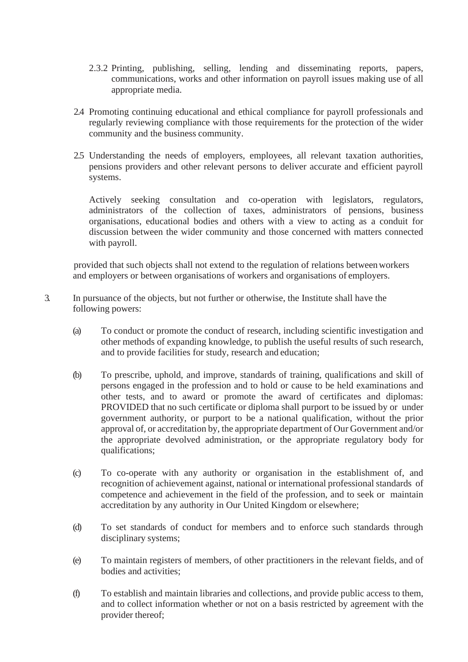- 2.3.2 Printing, publishing, selling, lending and disseminating reports, papers, communications, works and other information on payroll issues making use of all appropriate media.
- 2.4 Promoting continuing educational and ethical compliance for payroll professionals and regularly reviewing compliance with those requirements for the protection of the wider community and the business community.
- 2.5 Understanding the needs of employers, employees, all relevant taxation authorities, pensions providers and other relevant persons to deliver accurate and efficient payroll systems.

Actively seeking consultation and co-operation with legislators, regulators, administrators of the collection of taxes, administrators of pensions, business organisations, educational bodies and others with a view to acting as a conduit for discussion between the wider community and those concerned with matters connected with payroll.

provided that such objects shall not extend to the regulation of relations betweenworkers and employers or between organisations of workers and organisations of employers.

- 3. In pursuance of the objects, but not further or otherwise, the Institute shall have the following powers:
	- (a) To conduct or promote the conduct of research, including scientific investigation and other methods of expanding knowledge, to publish the useful results of such research, and to provide facilities for study, research and education;
	- (b) To prescribe, uphold, and improve, standards of training, qualifications and skill of persons engaged in the profession and to hold or cause to be held examinations and other tests, and to award or promote the award of certificates and diplomas: PROVIDED that no such certificate or diploma shall purport to be issued by or under government authority, or purport to be a national qualification, without the prior approval of, or accreditation by, the appropriate department of Our Government and/or the appropriate devolved administration, or the appropriate regulatory body for qualifications;
	- (c) To co-operate with any authority or organisation in the establishment of, and recognition of achievement against, national or international professional standards of competence and achievement in the field of the profession, and to seek or maintain accreditation by any authority in Our United Kingdom or elsewhere;
	- (d) To set standards of conduct for members and to enforce such standards through disciplinary systems;
	- (e) To maintain registers of members, of other practitioners in the relevant fields, and of bodies and activities;
	- (f) To establish and maintain libraries and collections, and provide public access to them, and to collect information whether or not on a basis restricted by agreement with the provider thereof;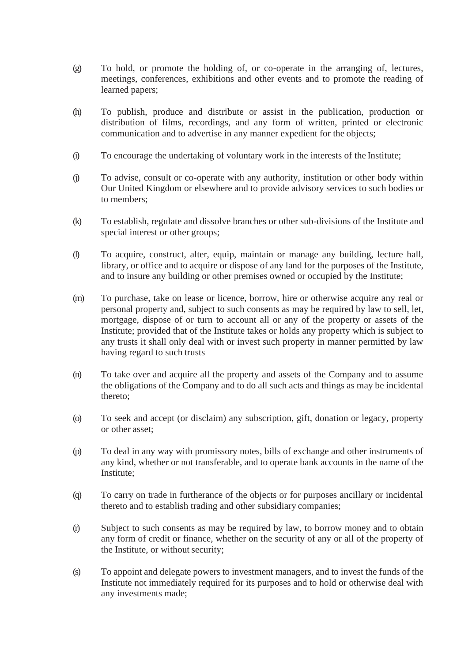- (g) To hold, or promote the holding of, or co-operate in the arranging of, lectures, meetings, conferences, exhibitions and other events and to promote the reading of learned papers;
- (h) To publish, produce and distribute or assist in the publication, production or distribution of films, recordings, and any form of written, printed or electronic communication and to advertise in any manner expedient for the objects;
- (i) To encourage the undertaking of voluntary work in the interests of the Institute;
- (j) To advise, consult or co-operate with any authority, institution or other body within Our United Kingdom or elsewhere and to provide advisory services to such bodies or to members;
- (k) To establish, regulate and dissolve branches or other sub-divisions of the Institute and special interest or other groups;
- (l) To acquire, construct, alter, equip, maintain or manage any building, lecture hall, library, or office and to acquire or dispose of any land for the purposes of the Institute, and to insure any building or other premises owned or occupied by the Institute;
- (m) To purchase, take on lease or licence, borrow, hire or otherwise acquire any real or personal property and, subject to such consents as may be required by law to sell, let, mortgage, dispose of or turn to account all or any of the property or assets of the Institute; provided that of the Institute takes or holds any property which is subject to any trusts it shall only deal with or invest such property in manner permitted by law having regard to such trusts
- (n) To take over and acquire all the property and assets of the Company and to assume the obligations of the Company and to do all such acts and things as may be incidental thereto;
- (o) To seek and accept (or disclaim) any subscription, gift, donation or legacy, property or other asset;
- (p) To deal in any way with promissory notes, bills of exchange and other instruments of any kind, whether or not transferable, and to operate bank accounts in the name of the Institute;
- (q) To carry on trade in furtherance of the objects or for purposes ancillary or incidental thereto and to establish trading and other subsidiary companies;
- (r) Subject to such consents as may be required by law, to borrow money and to obtain any form of credit or finance, whether on the security of any or all of the property of the Institute, or without security;
- (s) To appoint and delegate powers to investment managers, and to invest the funds of the Institute not immediately required for its purposes and to hold or otherwise deal with any investments made;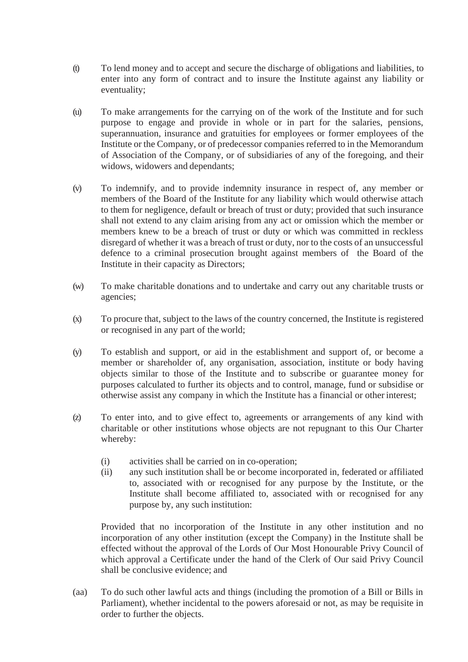- (t) To lend money and to accept and secure the discharge of obligations and liabilities, to enter into any form of contract and to insure the Institute against any liability or eventuality;
- (u) To make arrangements for the carrying on of the work of the Institute and for such purpose to engage and provide in whole or in part for the salaries, pensions, superannuation, insurance and gratuities for employees or former employees of the Institute or the Company, or of predecessor companies referred to in the Memorandum of Association of the Company, or of subsidiaries of any of the foregoing, and their widows, widowers and dependants;
- (v) To indemnify, and to provide indemnity insurance in respect of, any member or members of the Board of the Institute for any liability which would otherwise attach to them for negligence, default or breach of trust or duty; provided that such insurance shall not extend to any claim arising from any act or omission which the member or members knew to be a breach of trust or duty or which was committed in reckless disregard of whether it was a breach of trust or duty, nor to the costs of an unsuccessful defence to a criminal prosecution brought against members of the Board of the Institute in their capacity as Directors;
- (w) To make charitable donations and to undertake and carry out any charitable trusts or agencies;
- (x) To procure that, subject to the laws of the country concerned, the Institute is registered or recognised in any part of the world;
- (y) To establish and support, or aid in the establishment and support of, or become a member or shareholder of, any organisation, association, institute or body having objects similar to those of the Institute and to subscribe or guarantee money for purposes calculated to further its objects and to control, manage, fund or subsidise or otherwise assist any company in which the Institute has a financial or other interest;
- (z) To enter into, and to give effect to, agreements or arrangements of any kind with charitable or other institutions whose objects are not repugnant to this Our Charter whereby:
	- (i) activities shall be carried on in co-operation;
	- (ii) any such institution shall be or become incorporated in, federated or affiliated to, associated with or recognised for any purpose by the Institute, or the Institute shall become affiliated to, associated with or recognised for any purpose by, any such institution:

Provided that no incorporation of the Institute in any other institution and no incorporation of any other institution (except the Company) in the Institute shall be effected without the approval of the Lords of Our Most Honourable Privy Council of which approval a Certificate under the hand of the Clerk of Our said Privy Council shall be conclusive evidence; and

(aa) To do such other lawful acts and things (including the promotion of a Bill or Bills in Parliament), whether incidental to the powers aforesaid or not, as may be requisite in order to further the objects.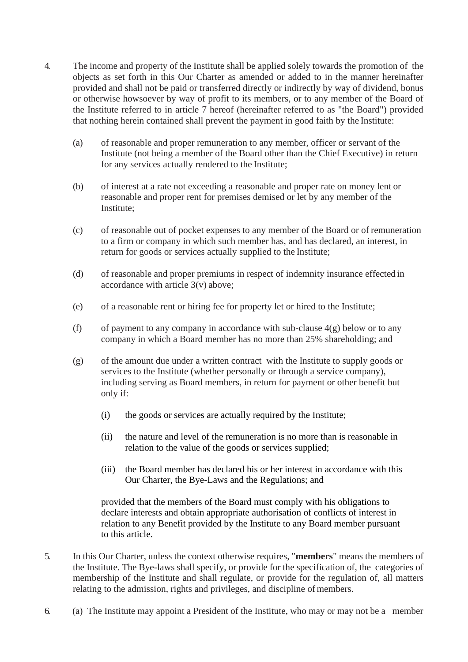- 4. The income and property of the Institute shall be applied solely towards the promotion of the objects as set forth in this Our Charter as amended or added to in the manner hereinafter provided and shall not be paid or transferred directly or indirectly by way of dividend, bonus or otherwise howsoever by way of profit to its members, or to any member of the Board of the Institute referred to in article 7 hereof (hereinafter referred to as "the Board") provided that nothing herein contained shall prevent the payment in good faith by the Institute:
	- (a) of reasonable and proper remuneration to any member, officer or servant of the Institute (not being a member of the Board other than the Chief Executive) in return for any services actually rendered to the Institute;
	- (b) of interest at a rate not exceeding a reasonable and proper rate on money lent or reasonable and proper rent for premises demised or let by any member of the Institute;
	- (c) of reasonable out of pocket expenses to any member of the Board or of remuneration to a firm or company in which such member has, and has declared, an interest, in return for goods or services actually supplied to the Institute;
	- (d) of reasonable and proper premiums in respect of indemnity insurance effected in accordance with article 3(v) above;
	- (e) of a reasonable rent or hiring fee for property let or hired to the Institute;
	- (f) of payment to any company in accordance with sub-clause  $4(g)$  below or to any company in which a Board member has no more than 25% shareholding; and
	- (g) of the amount due under a written contract with the Institute to supply goods or services to the Institute (whether personally or through a service company), including serving as Board members, in return for payment or other benefit but only if:
		- (i) the goods or services are actually required by the Institute;
		- (ii) the nature and level of the remuneration is no more than is reasonable in relation to the value of the goods or services supplied;
		- (iii) the Board member has declared his or her interest in accordance with this Our Charter, the Bye-Laws and the Regulations; and

provided that the members of the Board must comply with his obligations to declare interests and obtain appropriate authorisation of conflicts of interest in relation to any Benefit provided by the Institute to any Board member pursuant to this article.

- 5. In this Our Charter, unless the context otherwise requires, "**members**" means the members of the Institute. The Bye-laws shall specify, or provide for the specification of, the categories of membership of the Institute and shall regulate, or provide for the regulation of, all matters relating to the admission, rights and privileges, and discipline of members.
- 6. (a) The Institute may appoint a President of the Institute, who may or may not be a member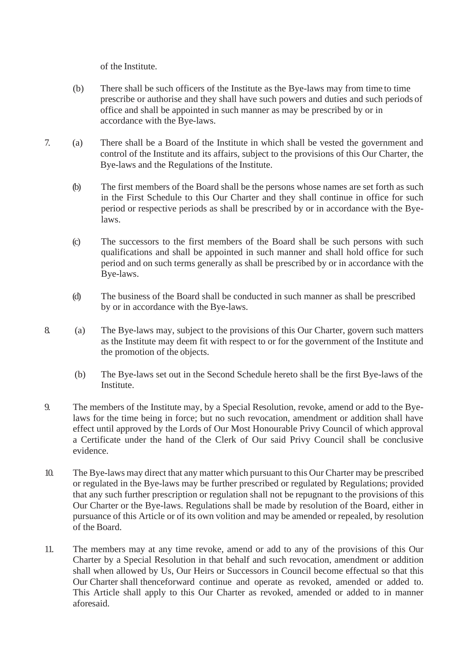of the Institute.

- (b) There shall be such officers of the Institute as the Bye-laws may from time to time prescribe or authorise and they shall have such powers and duties and such periods of office and shall be appointed in such manner as may be prescribed by or in accordance with the Bye-laws.
- 7. (a) There shall be a Board of the Institute in which shall be vested the government and control of the Institute and its affairs, subject to the provisions of this Our Charter, the Bye-laws and the Regulations of the Institute.
	- (b) The first members of the Board shall be the persons whose names are set forth as such in the First Schedule to this Our Charter and they shall continue in office for such period or respective periods as shall be prescribed by or in accordance with the Byelaws.
	- (c) The successors to the first members of the Board shall be such persons with such qualifications and shall be appointed in such manner and shall hold office for such period and on such terms generally as shall be prescribed by or in accordance with the Bye-laws.
	- (d) The business of the Board shall be conducted in such manner as shall be prescribed by or in accordance with the Bye-laws.
- 8. (a) The Bye-laws may, subject to the provisions of this Our Charter, govern such matters as the Institute may deem fit with respect to or for the government of the Institute and the promotion of the objects.
	- (b) The Bye-laws set out in the Second Schedule hereto shall be the first Bye-laws of the Institute.
- 9. The members of the Institute may, by a Special Resolution, revoke, amend or add to the Byelaws for the time being in force; but no such revocation, amendment or addition shall have effect until approved by the Lords of Our Most Honourable Privy Council of which approval a Certificate under the hand of the Clerk of Our said Privy Council shall be conclusive evidence.
- 10. The Bye-laws may direct that any matter which pursuant to this Our Charter may be prescribed or regulated in the Bye-laws may be further prescribed or regulated by Regulations; provided that any such further prescription or regulation shall not be repugnant to the provisions of this Our Charter or the Bye-laws. Regulations shall be made by resolution of the Board, either in pursuance of this Article or of its own volition and may be amended or repealed, by resolution of the Board.
- 11. The members may at any time revoke, amend or add to any of the provisions of this Our Charter by a Special Resolution in that behalf and such revocation, amendment or addition shall when allowed by Us, Our Heirs or Successors in Council become effectual so that this Our Charter shall thenceforward continue and operate as revoked, amended or added to. This Article shall apply to this Our Charter as revoked, amended or added to in manner aforesaid.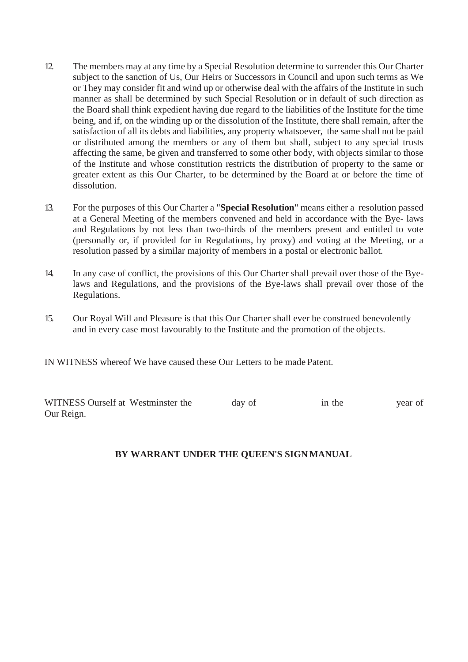- 12. The members may at any time by a Special Resolution determine to surrender this Our Charter subject to the sanction of Us, Our Heirs or Successors in Council and upon such terms as We or They may consider fit and wind up or otherwise deal with the affairs of the Institute in such manner as shall be determined by such Special Resolution or in default of such direction as the Board shall think expedient having due regard to the liabilities of the Institute for the time being, and if, on the winding up or the dissolution of the Institute, there shall remain, after the satisfaction of all its debts and liabilities, any property whatsoever, the same shall not be paid or distributed among the members or any of them but shall, subject to any special trusts affecting the same, be given and transferred to some other body, with objects similar to those of the Institute and whose constitution restricts the distribution of property to the same or greater extent as this Our Charter, to be determined by the Board at or before the time of dissolution.
- 13. For the purposes of this Our Charter a "**Special Resolution**" means either a resolution passed at a General Meeting of the members convened and held in accordance with the Bye- laws and Regulations by not less than two-thirds of the members present and entitled to vote (personally or, if provided for in Regulations, by proxy) and voting at the Meeting, or a resolution passed by a similar majority of members in a postal or electronic ballot.
- 14. In any case of conflict, the provisions of this Our Charter shall prevail over those of the Byelaws and Regulations, and the provisions of the Bye-laws shall prevail over those of the Regulations.
- 15. Our Royal Will and Pleasure is that this Our Charter shall ever be construed benevolently and in every case most favourably to the Institute and the promotion of the objects.

IN WITNESS whereof We have caused these Our Letters to be made Patent.

| WITNESS Ourself at Westminster the | day of | in the | year of |
|------------------------------------|--------|--------|---------|
| Our Reign.                         |        |        |         |

# **BY WARRANT UNDER THE QUEEN'S SIGN MANUAL**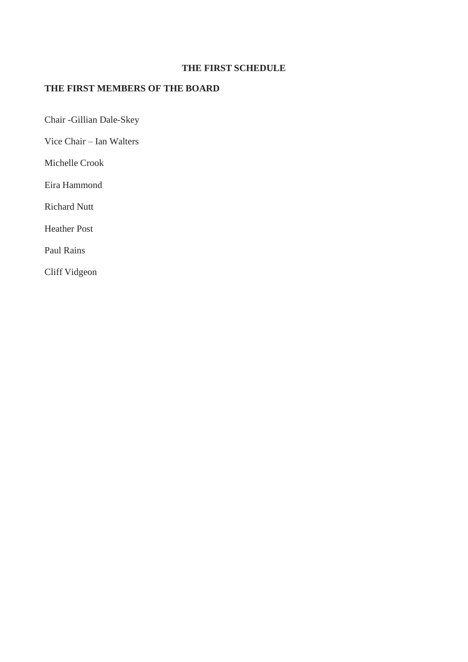# **THE FIRST SCHEDULE**

# **THE FIRST MEMBERS OF THE BOARD**

Chair -Gillian Dale-Skey

Vice Chair – Ian Walters

Michelle Crook

Eira Hammond

Richard Nutt

Heather Post

Paul Rains

Cliff Vidgeon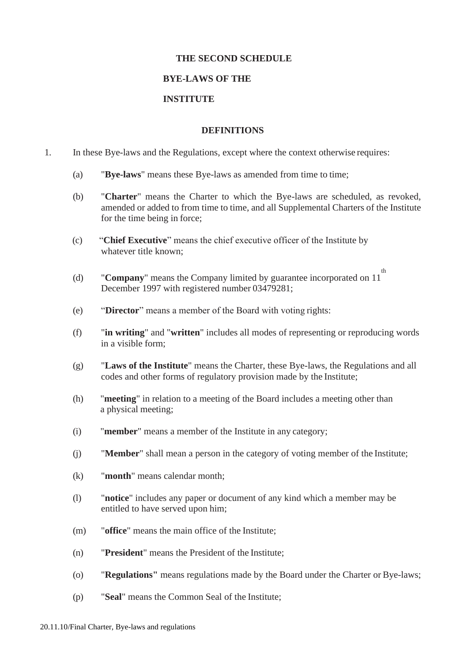### **THE SECOND SCHEDULE**

#### **BYE-LAWS OF THE**

#### **INSTITUTE**

#### **DEFINITIONS**

- 1. In these Bye-laws and the Regulations, except where the context otherwise requires:
	- (a) "**Bye-laws**" means these Bye-laws as amended from time to time;
	- (b) "**Charter**" means the Charter to which the Bye-laws are scheduled, as revoked, amended or added to from time to time, and all Supplemental Charters of the Institute for the time being in force;
	- (c) "**Chief Executive**" means the chief executive officer of the Institute by whatever title known;
	- (d) **Company**" means the Company limited by guarantee incorporated on  $11^{th}$ December 1997 with registered number 03479281;
	- (e) "**Director**" means a member of the Board with voting rights:
	- (f) "**in writing**" and "**written**" includes all modes of representing or reproducing words in a visible form;
	- (g) "**Laws of the Institute**" means the Charter, these Bye-laws, the Regulations and all codes and other forms of regulatory provision made by the Institute;
	- (h) "**meeting**" in relation to a meeting of the Board includes a meeting other than a physical meeting;
	- (i) "**member**" means a member of the Institute in any category;
	- (j) "**Member**" shall mean a person in the category of voting member of the Institute;
	- (k) "**month**" means calendar month;
	- (l) "**notice**" includes any paper or document of any kind which a member may be entitled to have served upon him;
	- (m) "**office**" means the main office of the Institute;
	- (n) "**President**" means the President of the Institute;
	- (o) "**Regulations"** means regulations made by the Board under the Charter or Bye-laws;
	- (p) "**Seal**" means the Common Seal of the Institute;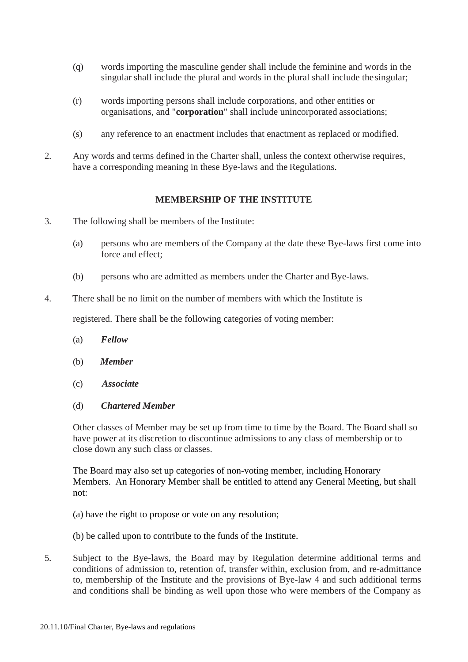- (q) words importing the masculine gender shall include the feminine and words in the singular shall include the plural and words in the plural shall include the singular;
- (r) words importing persons shall include corporations, and other entities or organisations, and "**corporation**" shall include unincorporated associations;
- (s) any reference to an enactment includes that enactment as replaced or modified.
- 2. Any words and terms defined in the Charter shall, unless the context otherwise requires, have a corresponding meaning in these Bye-laws and the Regulations.

### **MEMBERSHIP OF THE INSTITUTE**

- 3. The following shall be members of the Institute:
	- (a) persons who are members of the Company at the date these Bye-laws first come into force and effect;
	- (b) persons who are admitted as members under the Charter and Bye-laws.
- 4. There shall be no limit on the number of members with which the Institute is

registered. There shall be the following categories of voting member:

- (a) *Fellow*
- (b) *Member*
- (c) *Associate*

#### (d) *Chartered Member*

Other classes of Member may be set up from time to time by the Board. The Board shall so have power at its discretion to discontinue admissions to any class of membership or to close down any such class or classes.

The Board may also set up categories of non-voting member, including Honorary Members. An Honorary Member shall be entitled to attend any General Meeting, but shall not:

- (a) have the right to propose or vote on any resolution;
- (b) be called upon to contribute to the funds of the Institute.
- 5. Subject to the Bye-laws, the Board may by Regulation determine additional terms and conditions of admission to, retention of, transfer within, exclusion from, and re-admittance to, membership of the Institute and the provisions of Bye-law 4 and such additional terms and conditions shall be binding as well upon those who were members of the Company as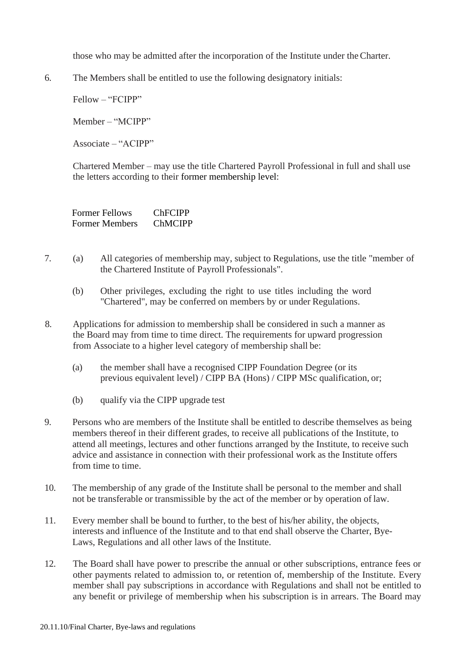those who may be admitted after the incorporation of the Institute under theCharter.

6. The Members shall be entitled to use the following designatory initials:

Fellow – "FCIPP"

Member – "MCIPP"

Associate – "ACIPP"

Chartered Member – may use the title Chartered Payroll Professional in full and shall use the letters according to their former membership level:

Former Fellows ChFCIPP Former Members ChMCIPP

- 7. (a) All categories of membership may, subject to Regulations, use the title "member of the Chartered Institute of Payroll Professionals".
	- (b) Other privileges, excluding the right to use titles including the word "Chartered", may be conferred on members by or under Regulations.
- 8. Applications for admission to membership shall be considered in such a manner as the Board may from time to time direct. The requirements for upward progression from Associate to a higher level category of membership shall be:
	- (a) the member shall have a recognised CIPP Foundation Degree (or its previous equivalent level) / CIPP BA (Hons) / CIPP MSc qualification, or;
	- (b) qualify via the CIPP upgrade test
- 9. Persons who are members of the Institute shall be entitled to describe themselves as being members thereof in their different grades, to receive all publications of the Institute, to attend all meetings, lectures and other functions arranged by the Institute, to receive such advice and assistance in connection with their professional work as the Institute offers from time to time.
- 10. The membership of any grade of the Institute shall be personal to the member and shall not be transferable or transmissible by the act of the member or by operation of law.
- 11. Every member shall be bound to further, to the best of his/her ability, the objects, interests and influence of the Institute and to that end shall observe the Charter, Bye-Laws, Regulations and all other laws of the Institute.
- 12. The Board shall have power to prescribe the annual or other subscriptions, entrance fees or other payments related to admission to, or retention of, membership of the Institute. Every member shall pay subscriptions in accordance with Regulations and shall not be entitled to any benefit or privilege of membership when his subscription is in arrears. The Board may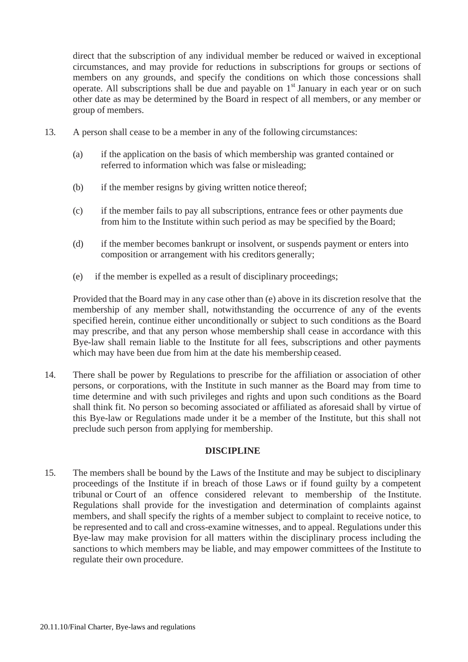direct that the subscription of any individual member be reduced or waived in exceptional circumstances, and may provide for reductions in subscriptions for groups or sections of members on any grounds, and specify the conditions on which those concessions shall operate. All subscriptions shall be due and payable on  $1<sup>st</sup>$  January in each year or on such other date as may be determined by the Board in respect of all members, or any member or group of members.

- 13. A person shall cease to be a member in any of the following circumstances:
	- (a) if the application on the basis of which membership was granted contained or referred to information which was false or misleading;
	- (b) if the member resigns by giving written notice thereof;
	- (c) if the member fails to pay all subscriptions, entrance fees or other payments due from him to the Institute within such period as may be specified by the Board;
	- (d) if the member becomes bankrupt or insolvent, or suspends payment or enters into composition or arrangement with his creditors generally;
	- (e) if the member is expelled as a result of disciplinary proceedings;

Provided that the Board may in any case other than (e) above in its discretion resolve that the membership of any member shall, notwithstanding the occurrence of any of the events specified herein, continue either unconditionally or subject to such conditions as the Board may prescribe, and that any person whose membership shall cease in accordance with this Bye-law shall remain liable to the Institute for all fees, subscriptions and other payments which may have been due from him at the date his membership ceased.

14. There shall be power by Regulations to prescribe for the affiliation or association of other persons, or corporations, with the Institute in such manner as the Board may from time to time determine and with such privileges and rights and upon such conditions as the Board shall think fit. No person so becoming associated or affiliated as aforesaid shall by virtue of this Bye-law or Regulations made under it be a member of the Institute, but this shall not preclude such person from applying for membership.

# **DISCIPLINE**

15. The members shall be bound by the Laws of the Institute and may be subject to disciplinary proceedings of the Institute if in breach of those Laws or if found guilty by a competent tribunal or Court of an offence considered relevant to membership of the Institute. Regulations shall provide for the investigation and determination of complaints against members, and shall specify the rights of a member subject to complaint to receive notice, to be represented and to call and cross-examine witnesses, and to appeal. Regulations under this Bye-law may make provision for all matters within the disciplinary process including the sanctions to which members may be liable, and may empower committees of the Institute to regulate their own procedure.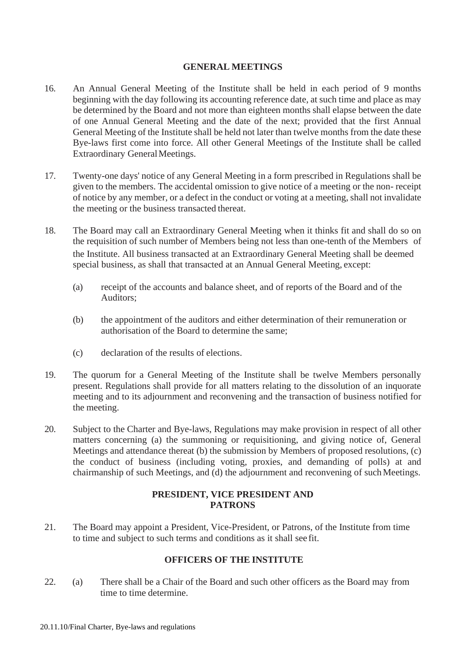### **GENERAL MEETINGS**

- 16. An Annual General Meeting of the Institute shall be held in each period of 9 months beginning with the day following its accounting reference date, at such time and place as may be determined by the Board and not more than eighteen months shall elapse between the date of one Annual General Meeting and the date of the next; provided that the first Annual General Meeting of the Institute shall be held not later than twelve months from the date these Bye-laws first come into force. All other General Meetings of the Institute shall be called Extraordinary General Meetings.
- 17. Twenty-one days' notice of any General Meeting in a form prescribed in Regulations shall be given to the members. The accidental omission to give notice of a meeting or the non- receipt of notice by any member, or a defect in the conduct or voting at a meeting, shall not invalidate the meeting or the business transacted thereat.
- 18. The Board may call an Extraordinary General Meeting when it thinks fit and shall do so on the requisition of such number of Members being not less than one-tenth of the Members of the Institute. All business transacted at an Extraordinary General Meeting shall be deemed special business, as shall that transacted at an Annual General Meeting, except:
	- (a) receipt of the accounts and balance sheet, and of reports of the Board and of the Auditors;
	- (b) the appointment of the auditors and either determination of their remuneration or authorisation of the Board to determine the same;
	- (c) declaration of the results of elections.
- 19. The quorum for a General Meeting of the Institute shall be twelve Members personally present. Regulations shall provide for all matters relating to the dissolution of an inquorate meeting and to its adjournment and reconvening and the transaction of business notified for the meeting.
- 20. Subject to the Charter and Bye-laws, Regulations may make provision in respect of all other matters concerning (a) the summoning or requisitioning, and giving notice of, General Meetings and attendance thereat (b) the submission by Members of proposed resolutions, (c) the conduct of business (including voting, proxies, and demanding of polls) at and chairmanship of such Meetings, and (d) the adjournment and reconvening of such Meetings.

# **PRESIDENT, VICE PRESIDENT AND PATRONS**

21. The Board may appoint a President, Vice-President, or Patrons, of the Institute from time to time and subject to such terms and conditions as it shall see fit.

# **OFFICERS OF THE INSTITUTE**

22. (a) There shall be a Chair of the Board and such other officers as the Board may from time to time determine.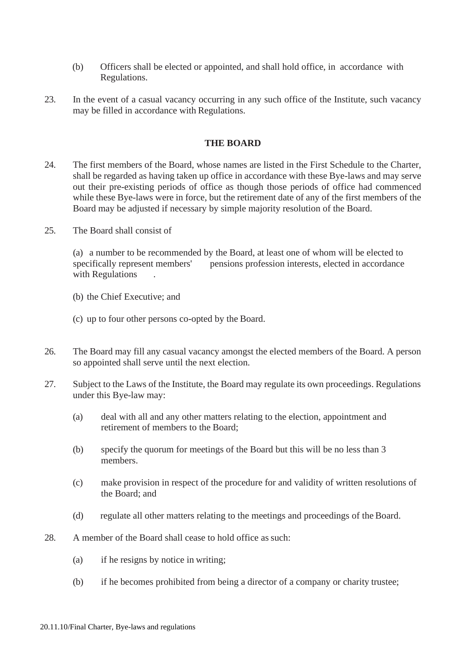- (b) Officers shall be elected or appointed, and shall hold office, in accordance with Regulations.
- 23. In the event of a casual vacancy occurring in any such office of the Institute, such vacancy may be filled in accordance with Regulations.

#### **THE BOARD**

- 24. The first members of the Board, whose names are listed in the First Schedule to the Charter, shall be regarded as having taken up office in accordance with these Bye-laws and may serve out their pre-existing periods of office as though those periods of office had commenced while these Bye-laws were in force, but the retirement date of any of the first members of the Board may be adjusted if necessary by simple majority resolution of the Board.
- 25. The Board shall consist of

(a) a number to be recommended by the Board, at least one of whom will be elected to specifically represent members' pensions profession interests, elected in accordance with Regulations .

- (b) the Chief Executive; and
- (c) up to four other persons co-opted by the Board.
- 26. The Board may fill any casual vacancy amongst the elected members of the Board. A person so appointed shall serve until the next election.
- 27. Subject to the Laws of the Institute, the Board may regulate its own proceedings. Regulations under this Bye-law may:
	- (a) deal with all and any other matters relating to the election, appointment and retirement of members to the Board;
	- (b) specify the quorum for meetings of the Board but this will be no less than 3 members.
	- (c) make provision in respect of the procedure for and validity of written resolutions of the Board; and
	- (d) regulate all other matters relating to the meetings and proceedings of the Board.
- 28. A member of the Board shall cease to hold office as such:
	- (a) if he resigns by notice in writing;
	- (b) if he becomes prohibited from being a director of a company or charity trustee;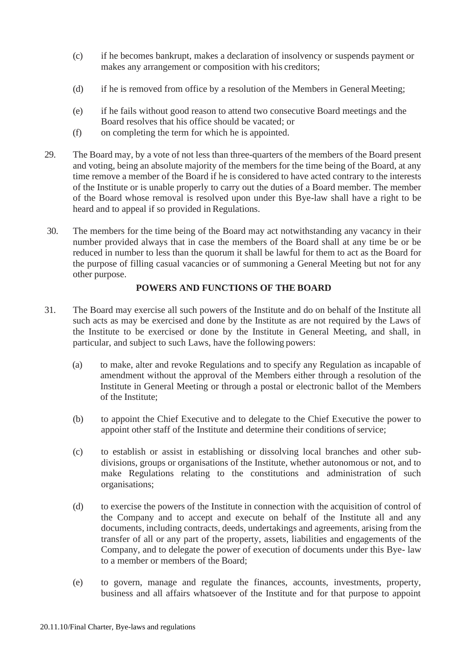- (c) if he becomes bankrupt, makes a declaration of insolvency or suspends payment or makes any arrangement or composition with his creditors;
- (d) if he is removed from office by a resolution of the Members in GeneralMeeting;
- (e) if he fails without good reason to attend two consecutive Board meetings and the Board resolves that his office should be vacated; or
- (f) on completing the term for which he is appointed.
- 29. The Board may, by a vote of not less than three-quarters of the members of the Board present and voting, being an absolute majority of the members for the time being of the Board, at any time remove a member of the Board if he is considered to have acted contrary to the interests of the Institute or is unable properly to carry out the duties of a Board member. The member of the Board whose removal is resolved upon under this Bye-law shall have a right to be heard and to appeal if so provided in Regulations.
- 30. The members for the time being of the Board may act notwithstanding any vacancy in their number provided always that in case the members of the Board shall at any time be or be reduced in number to less than the quorum it shall be lawful for them to act as the Board for the purpose of filling casual vacancies or of summoning a General Meeting but not for any other purpose.

### **POWERS AND FUNCTIONS OF THE BOARD**

- 31. The Board may exercise all such powers of the Institute and do on behalf of the Institute all such acts as may be exercised and done by the Institute as are not required by the Laws of the Institute to be exercised or done by the Institute in General Meeting, and shall, in particular, and subject to such Laws, have the following powers:
	- (a) to make, alter and revoke Regulations and to specify any Regulation as incapable of amendment without the approval of the Members either through a resolution of the Institute in General Meeting or through a postal or electronic ballot of the Members of the Institute;
	- (b) to appoint the Chief Executive and to delegate to the Chief Executive the power to appoint other staff of the Institute and determine their conditions of service;
	- (c) to establish or assist in establishing or dissolving local branches and other subdivisions, groups or organisations of the Institute, whether autonomous or not, and to make Regulations relating to the constitutions and administration of such organisations;
	- (d) to exercise the powers of the Institute in connection with the acquisition of control of the Company and to accept and execute on behalf of the Institute all and any documents, including contracts, deeds, undertakings and agreements, arising from the transfer of all or any part of the property, assets, liabilities and engagements of the Company, and to delegate the power of execution of documents under this Bye- law to a member or members of the Board;
	- (e) to govern, manage and regulate the finances, accounts, investments, property, business and all affairs whatsoever of the Institute and for that purpose to appoint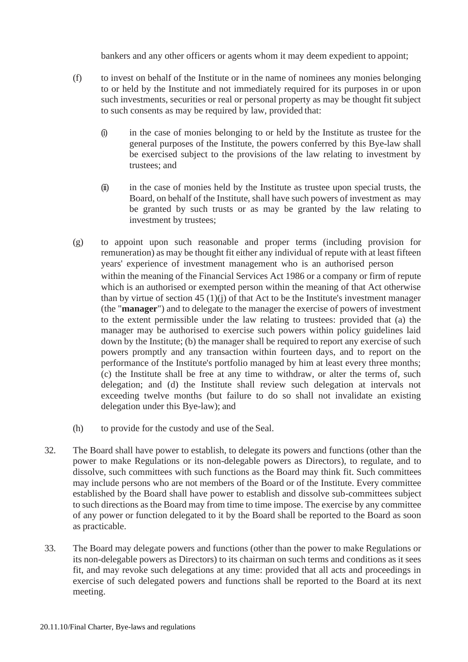bankers and any other officers or agents whom it may deem expedient to appoint;

- (f) to invest on behalf of the Institute or in the name of nominees any monies belonging to or held by the Institute and not immediately required for its purposes in or upon such investments, securities or real or personal property as may be thought fit subject to such consents as may be required by law, provided that:
	- (i) in the case of monies belonging to or held by the Institute as trustee for the general purposes of the Institute, the powers conferred by this Bye-law shall be exercised subject to the provisions of the law relating to investment by trustees; and
	- (ii) in the case of monies held by the Institute as trustee upon special trusts, the Board, on behalf of the Institute, shall have such powers of investment as may be granted by such trusts or as may be granted by the law relating to investment by trustees;
- (g) to appoint upon such reasonable and proper terms (including provision for remuneration) as may be thought fit either any individual of repute with at least fifteen years' experience of investment management who is an authorised person within the meaning of the Financial Services Act 1986 or a company or firm of repute which is an authorised or exempted person within the meaning of that Act otherwise than by virtue of section  $45 (1)(i)$  of that Act to be the Institute's investment manager (the "**manager**") and to delegate to the manager the exercise of powers of investment to the extent permissible under the law relating to trustees: provided that (a) the manager may be authorised to exercise such powers within policy guidelines laid down by the Institute; (b) the manager shall be required to report any exercise of such powers promptly and any transaction within fourteen days, and to report on the performance of the Institute's portfolio managed by him at least every three months; (c) the Institute shall be free at any time to withdraw, or alter the terms of, such delegation; and (d) the Institute shall review such delegation at intervals not exceeding twelve months (but failure to do so shall not invalidate an existing delegation under this Bye-law); and
- (h) to provide for the custody and use of the Seal.
- 32. The Board shall have power to establish, to delegate its powers and functions (other than the power to make Regulations or its non-delegable powers as Directors), to regulate, and to dissolve, such committees with such functions as the Board may think fit. Such committees may include persons who are not members of the Board or of the Institute. Every committee established by the Board shall have power to establish and dissolve sub-committees subject to such directions as the Board may from time to time impose. The exercise by any committee of any power or function delegated to it by the Board shall be reported to the Board as soon as practicable.
- 33. The Board may delegate powers and functions (other than the power to make Regulations or its non-delegable powers as Directors) to its chairman on such terms and conditions as it sees fit, and may revoke such delegations at any time: provided that all acts and proceedings in exercise of such delegated powers and functions shall be reported to the Board at its next meeting.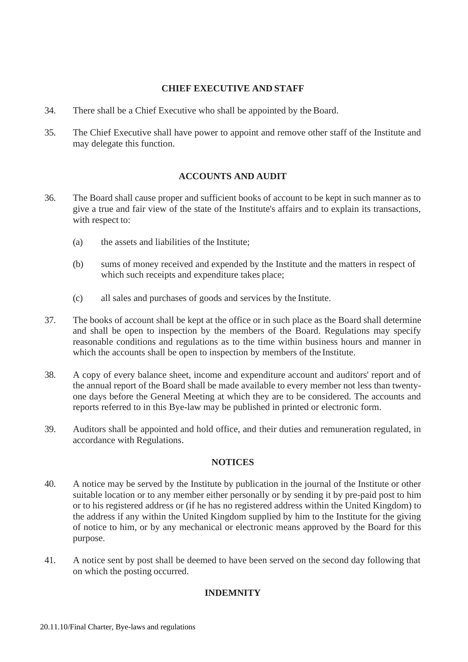# **CHIEF EXECUTIVE AND STAFF**

- 34. There shall be a Chief Executive who shall be appointed by the Board.
- 35. The Chief Executive shall have power to appoint and remove other staff of the Institute and may delegate this function.

# **ACCOUNTS AND AUDIT**

- 36. The Board shall cause proper and sufficient books of account to be kept in such manner as to give a true and fair view of the state of the Institute's affairs and to explain its transactions, with respect to:
	- (a) the assets and liabilities of the Institute;
	- (b) sums of money received and expended by the Institute and the matters in respect of which such receipts and expenditure takes place;
	- (c) all sales and purchases of goods and services by the Institute.
- 37. The books of account shall be kept at the office or in such place as the Board shall determine and shall be open to inspection by the members of the Board. Regulations may specify reasonable conditions and regulations as to the time within business hours and manner in which the accounts shall be open to inspection by members of the Institute.
- 38. A copy of every balance sheet, income and expenditure account and auditors' report and of the annual report of the Board shall be made available to every member not less than twentyone days before the General Meeting at which they are to be considered. The accounts and reports referred to in this Bye-law may be published in printed or electronic form.
- 39. Auditors shall be appointed and hold office, and their duties and remuneration regulated, in accordance with Regulations.

# **NOTICES**

- 40. A notice may be served by the Institute by publication in the journal of the Institute or other suitable location or to any member either personally or by sending it by pre-paid post to him or to his registered address or (if he has no registered address within the United Kingdom) to the address if any within the United Kingdom supplied by him to the Institute for the giving of notice to him, or by any mechanical or electronic means approved by the Board for this purpose.
- 41. A notice sent by post shall be deemed to have been served on the second day following that on which the posting occurred.

# **INDEMNITY**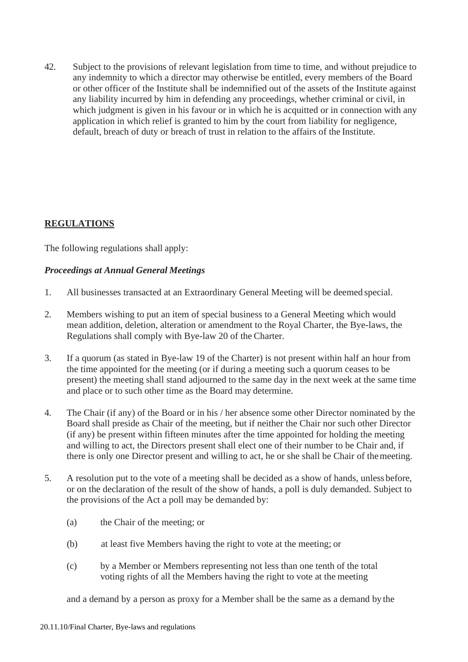42. Subject to the provisions of relevant legislation from time to time, and without prejudice to any indemnity to which a director may otherwise be entitled, every members of the Board or other officer of the Institute shall be indemnified out of the assets of the Institute against any liability incurred by him in defending any proceedings, whether criminal or civil, in which judgment is given in his favour or in which he is acquitted or in connection with any application in which relief is granted to him by the court from liability for negligence, default, breach of duty or breach of trust in relation to the affairs of the Institute.

# **REGULATIONS**

The following regulations shall apply:

### *Proceedings at Annual General Meetings*

- 1. All businesses transacted at an Extraordinary General Meeting will be deemed special.
- 2. Members wishing to put an item of special business to a General Meeting which would mean addition, deletion, alteration or amendment to the Royal Charter, the Bye-laws, the Regulations shall comply with Bye-law 20 of the Charter.
- 3. If a quorum (as stated in Bye-law 19 of the Charter) is not present within half an hour from the time appointed for the meeting (or if during a meeting such a quorum ceases to be present) the meeting shall stand adjourned to the same day in the next week at the same time and place or to such other time as the Board may determine.
- 4. The Chair (if any) of the Board or in his / her absence some other Director nominated by the Board shall preside as Chair of the meeting, but if neither the Chair nor such other Director (if any) be present within fifteen minutes after the time appointed for holding the meeting and willing to act, the Directors present shall elect one of their number to be Chair and, if there is only one Director present and willing to act, he or she shall be Chair of themeeting.
- 5. A resolution put to the vote of a meeting shall be decided as a show of hands, unless before, or on the declaration of the result of the show of hands, a poll is duly demanded. Subject to the provisions of the Act a poll may be demanded by:
	- (a) the Chair of the meeting; or
	- (b) at least five Members having the right to vote at the meeting; or
	- (c) by a Member or Members representing not less than one tenth of the total voting rights of all the Members having the right to vote at the meeting

and a demand by a person as proxy for a Member shall be the same as a demand by the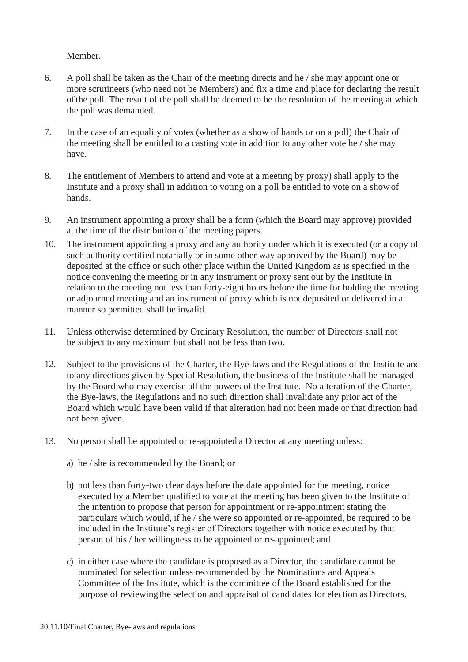Member.

- 6. A poll shall be taken as the Chair of the meeting directs and he / she may appoint one or more scrutineers (who need not be Members) and fix a time and place for declaring the result ofthe poll. The result of the poll shall be deemed to be the resolution of the meeting at which the poll was demanded.
- 7. In the case of an equality of votes (whether as a show of hands or on a poll) the Chair of the meeting shall be entitled to a casting vote in addition to any other vote he / she may have.
- 8. The entitlement of Members to attend and vote at a meeting by proxy) shall apply to the Institute and a proxy shall in addition to voting on a poll be entitled to vote on a showof hands.
- 9. An instrument appointing a proxy shall be a form (which the Board may approve) provided at the time of the distribution of the meeting papers.
- 10. The instrument appointing a proxy and any authority under which it is executed (or a copy of such authority certified notarially or in some other way approved by the Board) may be deposited at the office or such other place within the United Kingdom as is specified in the notice convening the meeting or in any instrument or proxy sent out by the Institute in relation to the meeting not less than forty-eight hours before the time for holding the meeting or adjourned meeting and an instrument of proxy which is not deposited or delivered in a manner so permitted shall be invalid.
- 11. Unless otherwise determined by Ordinary Resolution, the number of Directors shall not be subject to any maximum but shall not be less than two.
- 12. Subject to the provisions of the Charter, the Bye-laws and the Regulations of the Institute and to any directions given by Special Resolution, the business of the Institute shall be managed by the Board who may exercise all the powers of the Institute. No alteration of the Charter, the Bye-laws, the Regulations and no such direction shall invalidate any prior act of the Board which would have been valid if that alteration had not been made or that direction had not been given.
- 13. No person shall be appointed or re-appointed a Director at any meeting unless:
	- a) he / she is recommended by the Board; or
	- b) not less than forty-two clear days before the date appointed for the meeting, notice executed by a Member qualified to vote at the meeting has been given to the Institute of the intention to propose that person for appointment or re-appointment stating the particulars which would, if he / she were so appointed or re-appointed, be required to be included in the Institute's register of Directors together with notice executed by that person of his / her willingness to be appointed or re-appointed; and
	- c) in either case where the candidate is proposed as a Director, the candidate cannot be nominated for selection unless recommended by the Nominations and Appeals Committee of the Institute, which is the committee of the Board established for the purpose of reviewingthe selection and appraisal of candidates for election as Directors.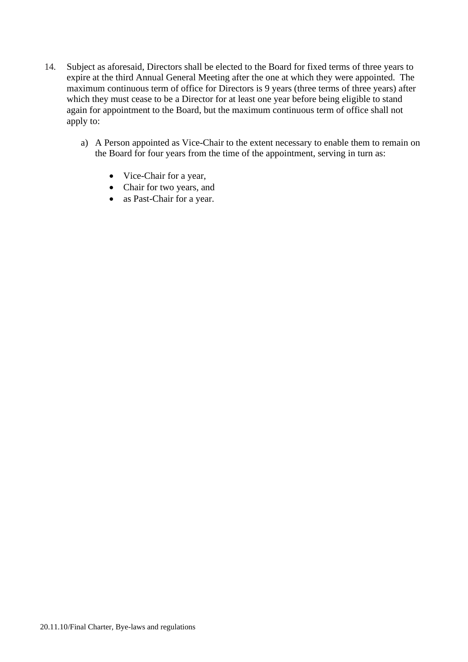- 14. Subject as aforesaid, Directors shall be elected to the Board for fixed terms of three years to expire at the third Annual General Meeting after the one at which they were appointed. The maximum continuous term of office for Directors is 9 years (three terms of three years) after which they must cease to be a Director for at least one year before being eligible to stand again for appointment to the Board, but the maximum continuous term of office shall not apply to:
	- a) A Person appointed as Vice-Chair to the extent necessary to enable them to remain on the Board for four years from the time of the appointment, serving in turn as:
		- Vice-Chair for a year,
		- Chair for two years, and
		- as Past-Chair for a year.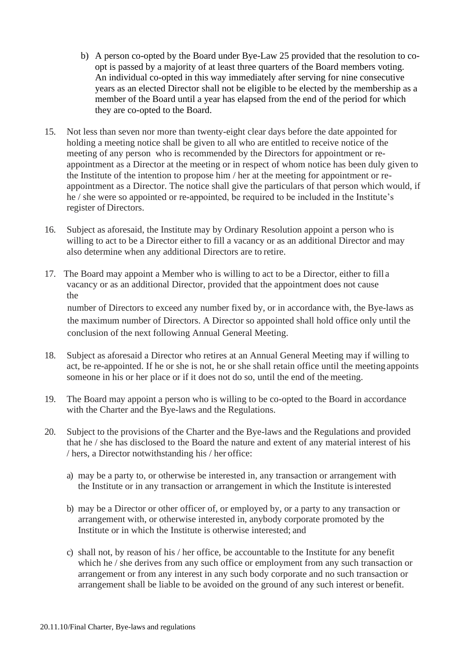- b) A person co-opted by the Board under Bye-Law 25 provided that the resolution to coopt is passed by a majority of at least three quarters of the Board members voting. An individual co-opted in this way immediately after serving for nine consecutive years as an elected Director shall not be eligible to be elected by the membership as a member of the Board until a year has elapsed from the end of the period for which they are co-opted to the Board.
- 15. Not less than seven nor more than twenty-eight clear days before the date appointed for holding a meeting notice shall be given to all who are entitled to receive notice of the meeting of any person who is recommended by the Directors for appointment or reappointment as a Director at the meeting or in respect of whom notice has been duly given to the Institute of the intention to propose him / her at the meeting for appointment or reappointment as a Director. The notice shall give the particulars of that person which would, if he / she were so appointed or re-appointed, be required to be included in the Institute's register of Directors.
- 16. Subject as aforesaid, the Institute may by Ordinary Resolution appoint a person who is willing to act to be a Director either to fill a vacancy or as an additional Director and may also determine when any additional Directors are to retire.
- 17. The Board may appoint a Member who is willing to act to be a Director, either to fill a vacancy or as an additional Director, provided that the appointment does not cause the

number of Directors to exceed any number fixed by, or in accordance with, the Bye-laws as the maximum number of Directors. A Director so appointed shall hold office only until the conclusion of the next following Annual General Meeting.

- 18. Subject as aforesaid a Director who retires at an Annual General Meeting may if willing to act, be re-appointed. If he or she is not, he or she shall retain office until the meeting appoints someone in his or her place or if it does not do so, until the end of the meeting.
- 19. The Board may appoint a person who is willing to be co-opted to the Board in accordance with the Charter and the Bye-laws and the Regulations.
- 20. Subject to the provisions of the Charter and the Bye-laws and the Regulations and provided that he / she has disclosed to the Board the nature and extent of any material interest of his / hers, a Director notwithstanding his / her office:
	- a) may be a party to, or otherwise be interested in, any transaction or arrangement with the Institute or in any transaction or arrangement in which the Institute isinterested
	- b) may be a Director or other officer of, or employed by, or a party to any transaction or arrangement with, or otherwise interested in, anybody corporate promoted by the Institute or in which the Institute is otherwise interested; and
	- c) shall not, by reason of his / her office, be accountable to the Institute for any benefit which he / she derives from any such office or employment from any such transaction or arrangement or from any interest in any such body corporate and no such transaction or arrangement shall be liable to be avoided on the ground of any such interest or benefit.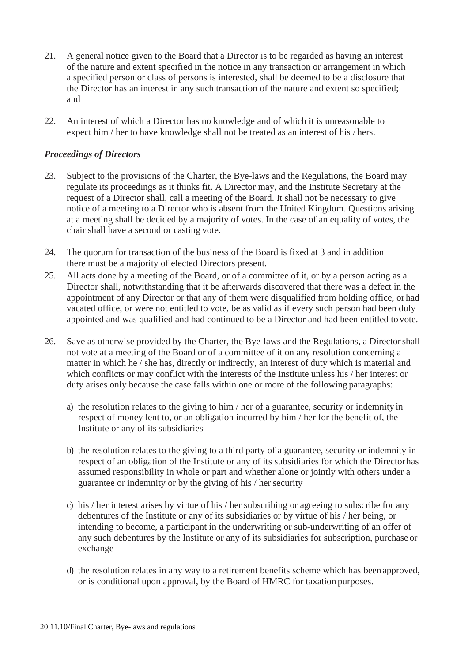- 21. A general notice given to the Board that a Director is to be regarded as having an interest of the nature and extent specified in the notice in any transaction or arrangement in which a specified person or class of persons is interested, shall be deemed to be a disclosure that the Director has an interest in any such transaction of the nature and extent so specified; and
- 22. An interest of which a Director has no knowledge and of which it is unreasonable to expect him / her to have knowledge shall not be treated as an interest of his / hers.

### *Proceedings of Directors*

- 23. Subject to the provisions of the Charter, the Bye-laws and the Regulations, the Board may regulate its proceedings as it thinks fit. A Director may, and the Institute Secretary at the request of a Director shall, call a meeting of the Board. It shall not be necessary to give notice of a meeting to a Director who is absent from the United Kingdom. Questions arising at a meeting shall be decided by a majority of votes. In the case of an equality of votes, the chair shall have a second or casting vote.
- 24. The quorum for transaction of the business of the Board is fixed at 3 and in addition there must be a majority of elected Directors present.
- 25. All acts done by a meeting of the Board, or of a committee of it, or by a person acting as a Director shall, notwithstanding that it be afterwards discovered that there was a defect in the appointment of any Director or that any of them were disqualified from holding office, or had vacated office, or were not entitled to vote, be as valid as if every such person had been duly appointed and was qualified and had continued to be a Director and had been entitled to vote.
- 26. Save as otherwise provided by the Charter, the Bye-laws and the Regulations, a Directorshall not vote at a meeting of the Board or of a committee of it on any resolution concerning a matter in which he / she has, directly or indirectly, an interest of duty which is material and which conflicts or may conflict with the interests of the Institute unless his / her interest or duty arises only because the case falls within one or more of the following paragraphs:
	- a) the resolution relates to the giving to him / her of a guarantee, security or indemnity in respect of money lent to, or an obligation incurred by him / her for the benefit of, the Institute or any of its subsidiaries
	- b) the resolution relates to the giving to a third party of a guarantee, security or indemnity in respect of an obligation of the Institute or any of its subsidiaries for which the Directorhas assumed responsibility in whole or part and whether alone or jointly with others under a guarantee or indemnity or by the giving of his / her security
	- c) his / her interest arises by virtue of his / her subscribing or agreeing to subscribe for any debentures of the Institute or any of its subsidiaries or by virtue of his / her being, or intending to become, a participant in the underwriting or sub-underwriting of an offer of any such debentures by the Institute or any of its subsidiaries for subscription, purchase or exchange
	- d) the resolution relates in any way to a retirement benefits scheme which has been approved, or is conditional upon approval, by the Board of HMRC for taxation purposes.